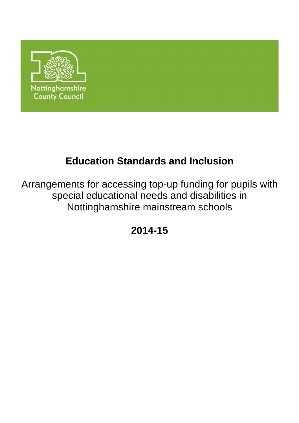

# **Education Standards and Inclusion**

Arrangements for accessing top-up funding for pupils with special educational needs and disabilities in Nottinghamshire mainstream schools

**2014-15**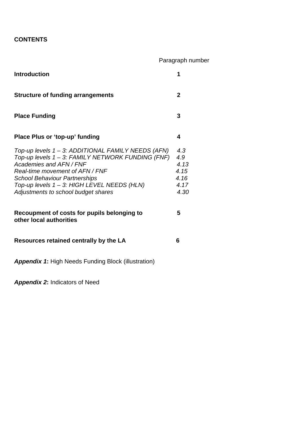# **CONTENTS**

|                                                                                                                                                                                                                                                                                                     | Paragraph number                                   |
|-----------------------------------------------------------------------------------------------------------------------------------------------------------------------------------------------------------------------------------------------------------------------------------------------------|----------------------------------------------------|
| <b>Introduction</b>                                                                                                                                                                                                                                                                                 | 1                                                  |
| <b>Structure of funding arrangements</b>                                                                                                                                                                                                                                                            | $\mathbf{2}$                                       |
| <b>Place Funding</b>                                                                                                                                                                                                                                                                                | 3                                                  |
| Place Plus or 'top-up' funding                                                                                                                                                                                                                                                                      | 4                                                  |
| Top-up levels 1 – 3: ADDITIONAL FAMILY NEEDS (AFN)<br>Top-up levels 1 - 3: FAMILY NETWORK FUNDING (FNF)<br>Academies and AFN / FNF<br>Real-time movement of AFN / FNF<br><b>School Behaviour Partnerships</b><br>Top-up levels 1 - 3: HIGH LEVEL NEEDS (HLN)<br>Adjustments to school budget shares | 4.3<br>4.9<br>4.13<br>4.15<br>4.16<br>4.17<br>4.30 |
| Recoupment of costs for pupils belonging to<br>other local authorities                                                                                                                                                                                                                              | 5                                                  |
| Resources retained centrally by the LA                                                                                                                                                                                                                                                              | 6                                                  |
| <b>Appendix 1:</b> High Needs Funding Block (illustration)                                                                                                                                                                                                                                          |                                                    |

**Appendix 2:** Indicators of Need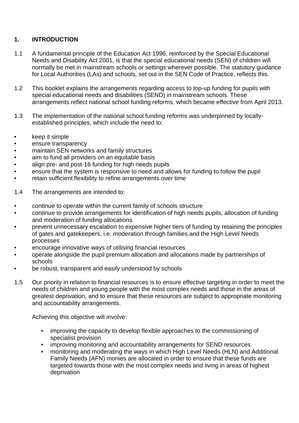### **1. INTRODUCTION**

- 1.1 A fundamental principle of the Education Act 1996, reinforced by the Special Educational Needs and Disability Act 2001, is that the special educational needs (SEN) of children will normally be met in mainstream schools or settings wherever possible. The statutory guidance for Local Authorities (LAs) and schools, set out in the SEN Code of Practice, reflects this.
- 1.2 This booklet explains the arrangements regarding access to top-up funding for pupils with special educational needs and disabilities (SEND) in mainstream schools. These arrangements reflect national school funding reforms, which became effective from April 2013.
- 1.3 The implementation of the national school funding reforms was underpinned by locallyestablished principles, which include the need to:
- keep it simple
- ensure transparency
- maintain SEN networks and family structures
- aim to fund all providers on an equitable basis
- align pre- and post-16 funding for high needs pupils
- ensure that the system is responsive to need and allows for funding to follow the pupil
- retain sufficient flexibility to refine arrangements over time
- 1.4 The arrangements are intended to:
- continue to operate within the current family of schools structure
- continue to provide arrangements for identification of high needs pupils, allocation of funding and moderation of funding allocations
- prevent unnecessary escalation to expensive higher tiers of funding by retaining the principles of gates and gatekeepers, i.e. moderation through families and the High Level Needs processes
- encourage innovative ways of utilising financial resources
- operate alongside the pupil premium allocation and allocations made by partnerships of schools
- be robust, transparent and easily understood by schools
- 1.5 Our priority in relation to financial resources is to ensure effective targeting in order to meet the needs of children and young people with the most complex needs and those in the areas of greatest deprivation, and to ensure that these resources are subject to appropriate monitoring and accountability arrangements.

Achieving this objective will involve:

- improving the capacity to develop flexible approaches to the commissioning of specialist provision
- improving monitoring and accountability arrangements for SEND resources
- monitoring and moderating the ways in which High Level Needs (HLN) and Additional Family Needs (AFN) monies are allocated in order to ensure that these funds are targeted towards those with the most complex needs and living in areas of highest deprivation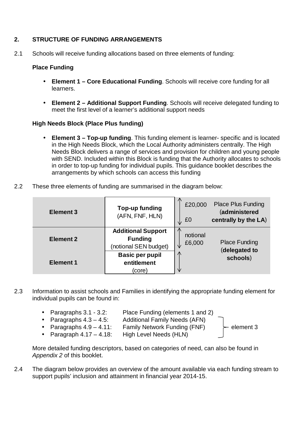#### **2. STRUCTURE OF FUNDING ARRANGEMENTS**

2.1 Schools will receive funding allocations based on three elements of funding:

#### **Place Funding**

- **Element 1 Core Educational Funding**. Schools will receive core funding for all learners.
- **Element 2 Additional Support Funding**. Schools will receive delegated funding to meet the first level of a learner's additional support needs

#### **High Needs Block (Place Plus funding)**

- **Element 3 Top-up funding**. This funding element is learner- specific and is located in the High Needs Block, which the Local Authority administers centrally. The High Needs Block delivers a range of services and provision for children and young people with SEND. Included within this Block is funding that the Authority allocates to schools in order to top-up funding for individual pupils. This guidance booklet describes the arrangements by which schools can access this funding
- 2.2 These three elements of funding are summarised in the diagram below:

| Element 3        | Top-up funding<br>(AFN, FNF, HLN)                                    | $\sqrt{N}$<br>£20,000<br>£0<br>NZ. | <b>Place Plus Funding</b><br>(administered<br>centrally by the LA) |
|------------------|----------------------------------------------------------------------|------------------------------------|--------------------------------------------------------------------|
| <b>Element 2</b> | <b>Additional Support</b><br><b>Funding</b><br>(notional SEN budget) | notional<br>£6,000                 | <b>Place Funding</b><br>(delegated to                              |
| <b>Element 1</b> | <b>Basic per pupil</b><br>entitlement<br>(core)                      | $\sqrt{2}$<br>₩                    | schools)                                                           |

2.3 Information to assist schools and Families in identifying the appropriate funding element for individual pupils can be found in:

|  | • Paragraphs $3.1 - 3.2$ :<br>• Paragraphs $4.3 - 4.5$ :<br>• Paragraphs $4.9 - 4.11$ :<br>• Paragraph $4.17 - 4.18$ : | Place Funding (elements 1 and 2)<br><b>Additional Family Needs (AFN)</b><br><b>Family Network Funding (FNF)</b><br>High Level Needs (HLN) | $\vdash$ element 3 |
|--|------------------------------------------------------------------------------------------------------------------------|-------------------------------------------------------------------------------------------------------------------------------------------|--------------------|
|--|------------------------------------------------------------------------------------------------------------------------|-------------------------------------------------------------------------------------------------------------------------------------------|--------------------|

More detailed funding descriptors, based on categories of need, can also be found in Appendix 2 of this booklet.

2.4 The diagram below provides an overview of the amount available via each funding stream to support pupils' inclusion and attainment in financial year 2014-15.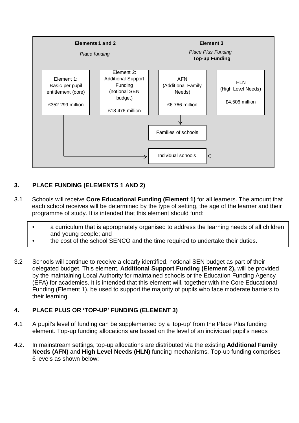

## **3. PLACE FUNDING (ELEMENTS 1 AND 2)**

- 3.1 Schools will receive **Core Educational Funding (Element 1)** for all learners. The amount that each school receives will be determined by the type of setting, the age of the learner and their programme of study. It is intended that this element should fund:
	- a curriculum that is appropriately organised to address the learning needs of all children and young people; and
	- the cost of the school SENCO and the time required to undertake their duties.
- 3.2 Schools will continue to receive a clearly identified, notional SEN budget as part of their delegated budget. This element, **Additional Support Funding (Element 2),** will be provided by the maintaining Local Authority for maintained schools or the Education Funding Agency (EFA) for academies. It is intended that this element will, together with the Core Educational Funding (Element 1), be used to support the majority of pupils who face moderate barriers to their learning.

#### **4. PLACE PLUS OR 'TOP-UP' FUNDING (ELEMENT 3)**

- 4.1 A pupil's level of funding can be supplemented by a 'top-up' from the Place Plus funding element. Top-up funding allocations are based on the level of an individual pupil's needs
- 4.2. In mainstream settings, top-up allocations are distributed via the existing **Additional Family Needs (AFN)** and **High Level Needs (HLN)** funding mechanisms. Top-up funding comprises 6 levels as shown below: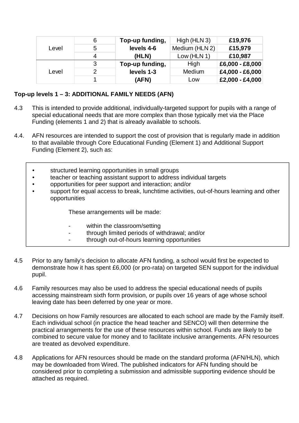|       | 6 | Top-up funding, | High (HLN 3)   | £19,976         |
|-------|---|-----------------|----------------|-----------------|
| Level | 5 | levels 4-6      | Medium (HLN 2) | £15,979         |
|       |   | (HLN)           | Low (HLN 1)    | £10,987         |
|       | 3 | Top-up funding, | High           | £6,000 - £8,000 |
| Level |   | levels 1-3      | Medium         | £4,000 - £6,000 |
|       |   | (AFN)           | Low            | £2,000 - £4,000 |

#### **Top-up levels 1 – 3: ADDITIONAL FAMILY NEEDS (AFN)**

- 4.3 This is intended to provide additional, individually-targeted support for pupils with a range of special educational needs that are more complex than those typically met via the Place Funding (elements 1 and 2) that is already available to schools.
- 4.4. AFN resources are intended to support the cost of provision that is regularly made in addition to that available through Core Educational Funding (Element 1) and Additional Support Funding (Element 2), such as:
	- structured learning opportunities in small groups
	- teacher or teaching assistant support to address individual targets
	- opportunities for peer support and interaction; and/or
	- support for equal access to break, lunchtime activities, out-of-hours learning and other opportunities

These arrangements will be made:

- within the classroom/setting
- through limited periods of withdrawal; and/or
- through out-of-hours learning opportunities
- 4.5 Prior to any family's decision to allocate AFN funding, a school would first be expected to demonstrate how it has spent £6,000 (or pro-rata) on targeted SEN support for the individual pupil.
- 4.6 Family resources may also be used to address the special educational needs of pupils accessing mainstream sixth form provision, or pupils over 16 years of age whose school leaving date has been deferred by one year or more.
- 4.7 Decisions on how Family resources are allocated to each school are made by the Family itself. Each individual school (in practice the head teacher and SENCO) will then determine the practical arrangements for the use of these resources within school. Funds are likely to be combined to secure value for money and to facilitate inclusive arrangements. AFN resources are treated as devolved expenditure.
- 4.8 Applications for AFN resources should be made on the standard proforma (AFN/HLN), which may be downloaded from Wired. The published indicators for AFN funding should be considered prior to completing a submission and admissible supporting evidence should be attached as required.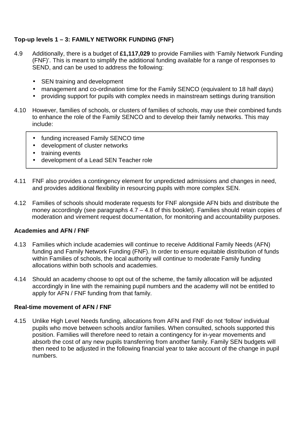## **Top-up levels 1 – 3: FAMILY NETWORK FUNDING (FNF)**

- 4.9 Additionally, there is a budget of **£1,117,029** to provide Families with 'Family Network Funding (FNF)'. This is meant to simplify the additional funding available for a range of responses to SEND, and can be used to address the following:
	- SEN training and development
	- management and co-ordination time for the Family SENCO (equivalent to 18 half days)
	- providing support for pupils with complex needs in mainstream settings during transition
- 4.10 However, families of schools, or clusters of families of schools, may use their combined funds to enhance the role of the Family SENCO and to develop their family networks. This may include:
	- funding increased Family SENCO time
	- development of cluster networks
	- training events
	- development of a Lead SEN Teacher role
- 4.11 FNF also provides a contingency element for unpredicted admissions and changes in need, and provides additional flexibility in resourcing pupils with more complex SEN.
- 4.12 Families of schools should moderate requests for FNF alongside AFN bids and distribute the money accordingly (see paragraphs 4.7 – 4.8 of this booklet). Families should retain copies of moderation and virement request documentation, for monitoring and accountability purposes.

#### **Academies and AFN / FNF**

- 4.13 Families which include academies will continue to receive Additional Family Needs (AFN) funding and Family Network Funding (FNF). In order to ensure equitable distribution of funds within Families of schools, the local authority will continue to moderate Family funding allocations within both schools and academies.
- 4.14 Should an academy choose to opt out of the scheme, the family allocation will be adjusted accordingly in line with the remaining pupil numbers and the academy will not be entitled to apply for AFN / FNF funding from that family.

#### **Real-time movement of AFN / FNF**

4.15 Unlike High Level Needs funding, allocations from AFN and FNF do not 'follow' individual pupils who move between schools and/or families. When consulted, schools supported this position. Families will therefore need to retain a contingency for in-year movements and absorb the cost of any new pupils transferring from another family. Family SEN budgets will then need to be adjusted in the following financial year to take account of the change in pupil numbers.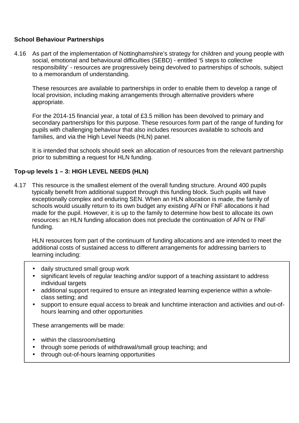#### **School Behaviour Partnerships**

4.16 As part of the implementation of Nottinghamshire's strategy for children and young people with social, emotional and behavioural difficulties (SEBD) - entitled '5 steps to collective responsibility' - resources are progressively being devolved to partnerships of schools, subject to a memorandum of understanding.

These resources are available to partnerships in order to enable them to develop a range of local provision, including making arrangements through alternative providers where appropriate.

For the 2014-15 financial year, a total of £3.5 million has been devolved to primary and secondary partnerships for this purpose. These resources form part of the range of funding for pupils with challenging behaviour that also includes resources available to schools and families, and via the High Level Needs (HLN) panel.

It is intended that schools should seek an allocation of resources from the relevant partnership prior to submitting a request for HLN funding.

#### **Top-up levels 1 – 3: HIGH LEVEL NEEDS (HLN)**

4.17 This resource is the smallest element of the overall funding structure. Around 400 pupils typically benefit from additional support through this funding block. Such pupils will have exceptionally complex and enduring SEN. When an HLN allocation is made, the family of schools would usually return to its own budget any existing AFN or FNF allocations it had made for the pupil. However, it is up to the family to determine how best to allocate its own resources: an HLN funding allocation does not preclude the continuation of AFN or FNF funding.

HLN resources form part of the continuum of funding allocations and are intended to meet the additional costs of sustained access to different arrangements for addressing barriers to learning including:

- daily structured small group work
- significant levels of regular teaching and/or support of a teaching assistant to address individual targets
- additional support required to ensure an integrated learning experience within a wholeclass setting; and
- support to ensure equal access to break and lunchtime interaction and activities and out-ofhours learning and other opportunities

These arrangements will be made:

- within the classroom/setting
- through some periods of withdrawal/small group teaching; and
- through out-of-hours learning opportunities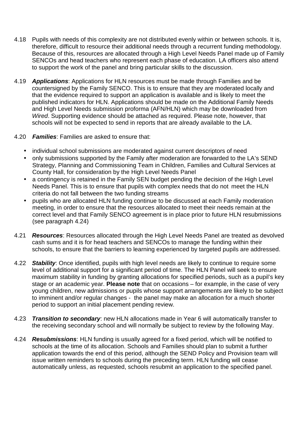- 4.18 Pupils with needs of this complexity are not distributed evenly within or between schools. It is, therefore, difficult to resource their additional needs through a recurrent funding methodology. Because of this, resources are allocated through a High Level Needs Panel made up of Family SENCOs and head teachers who represent each phase of education. LA officers also attend to support the work of the panel and bring particular skills to the discussion.
- 4.19 **Applications**: Applications for HLN resources must be made through Families and be countersigned by the Family SENCO. This is to ensure that they are moderated locally and that the evidence required to support an application is available and is likely to meet the published indicators for HLN. Applications should be made on the Additional Family Needs and High Level Needs submission proforma (AFN/HLN) which may be downloaded from Wired. Supporting evidence should be attached as required. Please note, however, that schools will not be expected to send in reports that are already available to the LA.
- 4.20 **Families**: Families are asked to ensure that:
	- individual school submissions are moderated against current descriptors of need
	- only submissions supported by the Family after moderation are forwarded to the LA's SEND Strategy, Planning and Commissioning Team in Children, Families and Cultural Services at County Hall, for consideration by the High Level Needs Panel
	- a contingency is retained in the Family SEN budget pending the decision of the High Level Needs Panel. This is to ensure that pupils with complex needs that do not meet the HLN criteria do not fall between the two funding streams
	- pupils who are allocated HLN funding continue to be discussed at each Family moderation meeting, in order to ensure that the resources allocated to meet their needs remain at the correct level and that Family SENCO agreement is in place prior to future HLN resubmissions (see paragraph 4.24)
- 4.21 **Resources**: Resources allocated through the High Level Needs Panel are treated as devolved cash sums and it is for head teachers and SENCOs to manage the funding within their schools, to ensure that the barriers to learning experienced by targeted pupils are addressed.
- 4.22 **Stability**: Once identified, pupils with high level needs are likely to continue to require some level of additional support for a significant period of time. The HLN Panel will seek to ensure maximum stability in funding by granting allocations for specified periods, such as a pupil's key stage or an academic year. **Please note** that on occasions – for example, in the case of very young children, new admissions or pupils whose support arrangements are likely to be subject to imminent and/or regular changes - the panel may make an allocation for a much shorter period to support an initial placement pending review.
- 4.23 **Transition to secondary**: new HLN allocations made in Year 6 will automatically transfer to the receiving secondary school and will normally be subject to review by the following May.
- 4.24 **Resubmissions**: HLN funding is usually agreed for a fixed period, which will be notified to schools at the time of its allocation. Schools and Families should plan to submit a further application towards the end of this period, although the SEND Policy and Provision team will issue written reminders to schools during the preceding term. HLN funding will cease automatically unless, as requested, schools resubmit an application to the specified panel.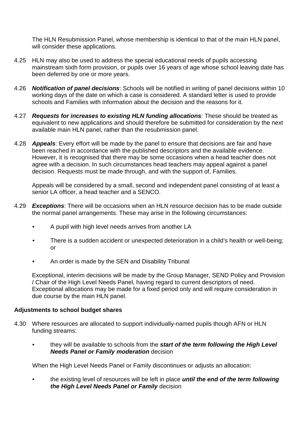The HLN Resubmission Panel, whose membership is identical to that of the main HLN panel, will consider these applications.

- 4.25 HLN may also be used to address the special educational needs of pupils accessing mainstream sixth form provision, or pupils over 16 years of age whose school leaving date has been deferred by one or more years.
- 4.26 **Notification of panel decisions**: Schools will be notified in writing of panel decisions within 10 working days of the date on which a case is considered. A standard letter is used to provide schools and Families with information about the decision and the reasons for it.
- 4.27 **Requests for increases to existing HLN funding allocations**: These should be treated as equivalent to new applications and should therefore be submitted for consideration by the next available main HLN panel, rather than the resubmission panel.
- 4.28 **Appeals**: Every effort will be made by the panel to ensure that decisions are fair and have been reached in accordance with the published descriptors and the available evidence. However, it is recognised that there may be some occasions when a head teacher does not agree with a decision. In such circumstances head teachers may appeal against a panel decision. Requests must be made through, and with the support of, Families.

Appeals will be considered by a small, second and independent panel consisting of at least a senior LA officer, a head teacher and a SENCO.

- 4.29 **Exceptions**: There will be occasions when an HLN resource decision has to be made outside the normal panel arrangements. These may arise in the following circumstances:
	- A pupil with high level needs arrives from another LA
	- There is a sudden accident or unexpected deterioration in a child's health or well-being; or
	- An order is made by the SEN and Disability Tribunal

Exceptional, interim decisions will be made by the Group Manager, SEND Policy and Provision / Chair of the High Level Needs Panel, having regard to current descriptors of need. Exceptional allocations may be made for a fixed period only and will require consideration in due course by the main HLN panel.

#### **Adjustments to school budget shares**

- 4.30 Where resources are allocated to support individually-named pupils though AFN or HLN funding streams:
	- they will be available to schools from the **start of the term following the High Level Needs Panel or Family moderation** decision

When the High Level Needs Panel or Family discontinues or adjusts an allocation:

 • the existing level of resources will be left in place **until the end of the term following the High Level Needs Panel or Family** decision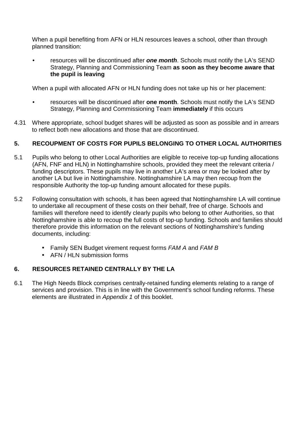When a pupil benefiting from AFN or HLN resources leaves a school, other than through planned transition:

• resources will be discontinued after **one month**. Schools must notify the LA's SEND Strategy, Planning and Commissioning Team **as soon as they become aware that the pupil is leaving** 

When a pupil with allocated AFN or HLN funding does not take up his or her placement:

- resources will be discontinued after **one month**. Schools must notify the LA's SEND Strategy, Planning and Commissioning Team **immediately** if this occurs
- 4.31 Where appropriate, school budget shares will be adjusted as soon as possible and in arrears to reflect both new allocations and those that are discontinued.

#### **5. RECOUPMENT OF COSTS FOR PUPILS BELONGING TO OTHER LOCAL AUTHORITIES**

- 5.1 Pupils who belong to other Local Authorities are eligible to receive top-up funding allocations (AFN, FNF and HLN) in Nottinghamshire schools, provided they meet the relevant criteria / funding descriptors. These pupils may live in another LA's area or may be looked after by another LA but live in Nottinghamshire. Nottinghamshire LA may then recoup from the responsible Authority the top-up funding amount allocated for these pupils.
- 5.2 Following consultation with schools, it has been agreed that Nottinghamshire LA will continue to undertake all recoupment of these costs on their behalf, free of charge. Schools and families will therefore need to identify clearly pupils who belong to other Authorities, so that Nottinghamshire is able to recoup the full costs of top-up funding. Schools and families should therefore provide this information on the relevant sections of Nottinghamshire's funding documents, including:
	- Family SEN Budget virement request forms FAM A and FAM B
	- AFN / HLN submission forms

## **6. RESOURCES RETAINED CENTRALLY BY THE LA**

6.1 The High Needs Block comprises centrally-retained funding elements relating to a range of services and provision. This is in line with the Government's school funding reforms. These elements are illustrated in Appendix 1 of this booklet.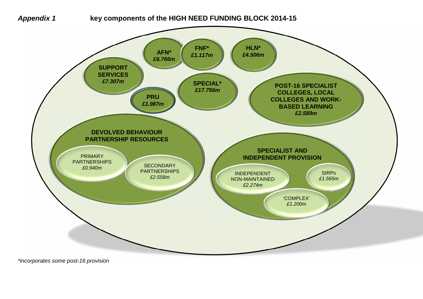

**Appendix 1 key components of the HIGH NEED FUNDING BLOCK 2014-15** 



\*incorporates some post-16 provision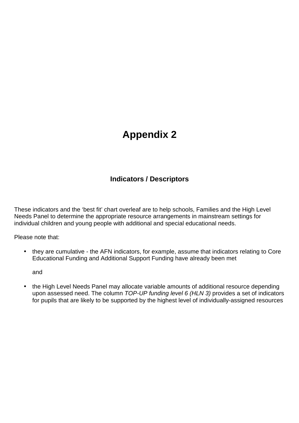# **Appendix 2**

# **Indicators / Descriptors**

These indicators and the 'best fit' chart overleaf are to help schools, Families and the High Level Needs Panel to determine the appropriate resource arrangements in mainstream settings for individual children and young people with additional and special educational needs.

Please note that:

• they are cumulative - the AFN indicators, for example, assume that indicators relating to Core Educational Funding and Additional Support Funding have already been met

and

• the High Level Needs Panel may allocate variable amounts of additional resource depending upon assessed need. The column TOP-UP funding level 6 (HLN 3) provides a set of indicators for pupils that are likely to be supported by the highest level of individually-assigned resources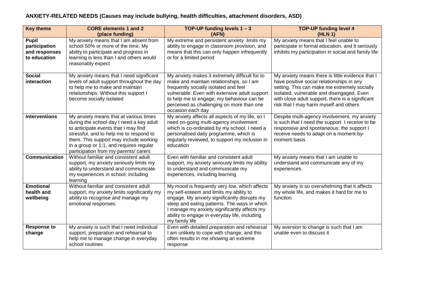#### **ANXIETY-RELATED NEEDS (Causes may include bullying, health difficulties, attachment disorders, ASD)**

| <b>Key theme</b>                                               | <b>CORE elements 1 and 2</b><br>(place funding)                                                                                                                                                                                                                                                     | TOP-UP funding levels $1 - 3$<br>(AFN)                                                                                                                                                                                                                                                                      | <b>TOP-UP funding level 4</b><br>(HLN 1)                                                                                                                                                                                                                                                 |
|----------------------------------------------------------------|-----------------------------------------------------------------------------------------------------------------------------------------------------------------------------------------------------------------------------------------------------------------------------------------------------|-------------------------------------------------------------------------------------------------------------------------------------------------------------------------------------------------------------------------------------------------------------------------------------------------------------|------------------------------------------------------------------------------------------------------------------------------------------------------------------------------------------------------------------------------------------------------------------------------------------|
| <b>Pupil</b><br>participation<br>and responses<br>to education | My anxiety means that I am absent from<br>school 50% or more of the time. My<br>ability to participate and progress in<br>learning is less than I and others would<br>reasonably expect                                                                                                             | My extreme and persistent anxiety limits my<br>ability to engage in classroom provision, and<br>means that this can only happen infrequently<br>or for a limited period                                                                                                                                     | My anxiety means that I feel unable to<br>participate in formal education, and it seriously<br>inhibits my participation in social and family life                                                                                                                                       |
| <b>Social</b><br>interaction                                   | My anxiety means that I need significant<br>levels of adult support throughout the day<br>to help me to make and maintain<br>relationships. Without this support I<br>become socially isolated                                                                                                      | My anxiety makes it extremely difficult for to<br>make and maintain relationships, so I am<br>frequently socially isolated and feel<br>vulnerable. Even with extensive adult support<br>to help me to engage, my behaviour can be<br>perceived as challenging on more than one<br>occasion each day         | My anxiety means there is little evidence that I<br>have positive social relationships in any<br>setting. This can make me extremely socially<br>isolated, vulnerable and disengaged. Even<br>with close adult support, there is a significant<br>risk that I may harm myself and others |
| <b>Interventions</b>                                           | My anxiety means that at various times<br>during the school day I need a key adult<br>to anticipate events that I may find<br>stressful, and to help me to respond to<br>them. This support may include working<br>in a group or 1:1, and requires regular<br>participation from my parents/ carers | My anxiety affects all aspects of my life, so I<br>need on-going multi-agency involvement<br>which is co-ordinated by my school. I need a<br>personalised daily programme, which is<br>regularly reviewed, to support my inclusion in<br>education                                                          | Despite multi-agency involvement, my anxiety<br>is such that I need the support I receive to be<br>responsive and spontaneous; the support I<br>receive needs to adapt on a moment-by-<br>moment basis                                                                                   |
| <b>Communication</b>                                           | Without familiar and consistent adult<br>support, my anxiety seriously limits my<br>ability to understand and communicate<br>my experiences in school, including<br>learning                                                                                                                        | Even with familiar and consistent adult<br>support, my anxiety seriously limits my ability<br>to understand and communicate my<br>experiences, including learning                                                                                                                                           | My anxiety means that I am unable to<br>understand and communicate any of my<br>experiences                                                                                                                                                                                              |
| <b>Emotional</b><br>health and<br>wellbeing                    | Without familiar and consistent adult<br>support, my anxiety limits significantly my<br>ability to recognise and manage my<br>emotional responses                                                                                                                                                   | My mood is frequently very low, which affects<br>my self-esteem and limits my ability to<br>engage. My anxiety significantly disrupts my<br>sleep and eating patterns. The ways in which<br>I manage my anxiety significantly affects my<br>ability to engage in everyday life, including<br>my family life | My anxiety is so overwhelming that it affects<br>my whole life, and makes it hard for me to<br>function                                                                                                                                                                                  |
| <b>Response to</b><br>change                                   | My anxiety is such that I need individual<br>support, preparation and rehearsal to<br>help me to manage change in everyday<br>school routines                                                                                                                                                       | Even with detailed preparation and rehearsal<br>I am unlikely to cope with change, and this<br>often results in me showing an extreme<br>response                                                                                                                                                           | My aversion to change is such that I am<br>unable even to discuss it                                                                                                                                                                                                                     |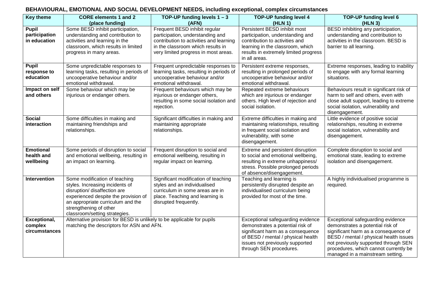#### **BEHAVIOURAL, EMOTIONAL AND SOCIAL DEVELOPMENT NEEDS, including exceptional, complex circumstances**

| <b>Key theme</b>                            | <b>CORE elements 1 and 2</b><br>(place funding)                                                                                                                                                                                          | TOP-UP funding levels $1 - 3$<br>(AFN)                                                                                                                                                    | <b>TOP-UP funding level 4</b><br>(HLN 1)                                                                                                                                                                       | <b>TOP-UP funding level 6</b><br>(HLN 3)                                                                                                                                                                                                                                     |
|---------------------------------------------|------------------------------------------------------------------------------------------------------------------------------------------------------------------------------------------------------------------------------------------|-------------------------------------------------------------------------------------------------------------------------------------------------------------------------------------------|----------------------------------------------------------------------------------------------------------------------------------------------------------------------------------------------------------------|------------------------------------------------------------------------------------------------------------------------------------------------------------------------------------------------------------------------------------------------------------------------------|
| Pupil<br>participation<br>in education      | Some BESD inhibit participation,<br>understanding and contribution to<br>activities and learning in the<br>classroom, which results in limited<br>progress in many areas.                                                                | Frequent BESD inhibit regular<br>participation, understanding and<br>contribution to activities and learning<br>in the classroom which results in<br>very limited progress in most areas. | Persistent BESD inhibit most<br>participation, understanding and<br>contribution to activities and<br>learning in the classroom, which<br>results in extremely limited progress<br>in all areas.               | BESD inhibiting any participation,<br>understanding and contribution to<br>activities in the classroom. BESD is<br>barrier to all learning.                                                                                                                                  |
| <b>Pupil</b><br>response to<br>education    | Some unpredictable responses to<br>learning tasks, resulting in periods of<br>uncooperative behaviour and/or<br>emotional withdrawal.                                                                                                    | Frequent unpredictable responses to<br>learning tasks, resulting in periods of<br>uncooperative behaviour and/or<br>emotional withdrawal.                                                 | Persistent extreme responses,<br>resulting in prolonged periods of<br>uncooperative behaviour and/or<br>emotional withdrawal.                                                                                  | Extreme responses, leading to inability<br>to engage with any formal learning<br>situations.                                                                                                                                                                                 |
| Impact on self<br>and others                | Some behaviour which may be<br>injurious or endanger others.                                                                                                                                                                             | Frequent behaviours which may be<br>injurious or endanger others,<br>resulting in some social isolation and<br>rejection.                                                                 | Repeated extreme behaviours<br>which are injurious or endanger<br>others. High level of rejection and<br>social isolation.                                                                                     | Behaviours result in significant risk of<br>harm to self and others, even with<br>close adult support, leading to extreme<br>social isolation, vulnerability and<br>disengagement.                                                                                           |
| <b>Social</b><br>interaction                | Some difficulties in making and<br>maintaining friendships and<br>relationships.                                                                                                                                                         | Significant difficulties in making and<br>maintaining appropriate<br>relationships.                                                                                                       | Extreme difficulties in making and<br>maintaining relationships, resulting<br>in frequent social isolation and<br>vulnerability, with some<br>disengagement.                                                   | Little evidence of positive social<br>relationships, resulting in extreme<br>social isolation, vulnerability and<br>disengagement.                                                                                                                                           |
| <b>Emotional</b><br>health and<br>wellbeing | Some periods of disruption to social<br>and emotional wellbeing, resulting in<br>an impact on learning.                                                                                                                                  | Frequent disruption to social and<br>emotional wellbeing, resulting in<br>regular impact on learning.                                                                                     | Extreme and persistent disruption<br>to social and emotional wellbeing,<br>resulting in extreme unhappiness/<br>stress. Possible prolonged periods<br>of absence/disengagement.                                | Complete disruption to social and<br>emotional state, leading to extreme<br>isolation and disengagement.                                                                                                                                                                     |
| Intervention                                | Some modification of teaching<br>styles. Increasing incidents of<br>disruption/ disaffection are<br>experienced despite the provision of<br>an appropriate curriculum and the<br>strengthening of other<br>classroom/setting strategies. | Significant modification of teaching<br>styles and an individualised<br>curriculum in some areas are in<br>place. Teaching and learning is<br>disrupted frequently.                       | Teaching and learning is<br>persistently disrupted despite an<br>individualised curriculum being<br>provided for most of the time.                                                                             | A highly individualised programme is<br>required.                                                                                                                                                                                                                            |
| Exceptional,<br>complex<br>circumstances    | Alternative provision for BESD is unlikely to be applicable for pupils<br>matching the descriptors for ASN and AFN.                                                                                                                      |                                                                                                                                                                                           | Exceptional safeguarding evidence<br>demonstrates a potential risk of<br>significant harm as a consequence<br>of BESD / mental / physical health<br>issues not previously supported<br>through SEN procedures. | Exceptional safeguarding evidence<br>demonstrates a potential risk of<br>significant harm as a consequence of<br>BESD / mental / physical health issues<br>not previously supported through SEN<br>procedures, which cannot currently be<br>managed in a mainstream setting. |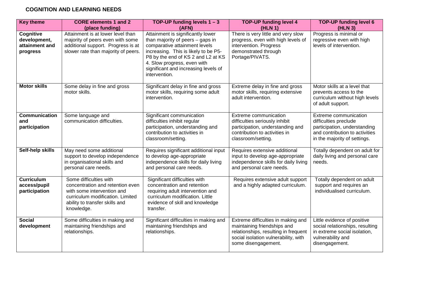#### **COGNITION AND LEARNING NEEDS**

| <b>Key theme</b>                                               | <b>CORE elements 1 and 2</b><br>(place funding)                                                                                                                              | TOP-UP funding levels $1 - 3$<br>(AFN)                                                                                                                                                                                                                                       | <b>TOP-UP funding level 4</b><br>(HLN 1)                                                                                                                                 | <b>TOP-UP funding level 6</b><br>(HLN 3)                                                                                                         |
|----------------------------------------------------------------|------------------------------------------------------------------------------------------------------------------------------------------------------------------------------|------------------------------------------------------------------------------------------------------------------------------------------------------------------------------------------------------------------------------------------------------------------------------|--------------------------------------------------------------------------------------------------------------------------------------------------------------------------|--------------------------------------------------------------------------------------------------------------------------------------------------|
| <b>Cognitive</b><br>development,<br>attainment and<br>progress | Attainment is at lower level than<br>majority of peers even with some<br>additional support. Progress is at<br>slower rate than majority of peers.                           | Attainment is significantly lower<br>than majority of peers - gaps in<br>comparative attainment levels<br>increasing. This is likely to be P5-<br>P8 by the end of KS 2 and L2 at KS<br>4. Slow progress, even with<br>significant and increasing levels of<br>intervention. | There is very little and very slow<br>progress, even with high levels of<br>intervention. Progress<br>demonstrated through<br>Portage/PIVATS.                            | Progress is minimal or<br>regressive even with high<br>levels of intervention.                                                                   |
| <b>Motor skills</b>                                            | Some delay in fine and gross<br>motor skills.                                                                                                                                | Significant delay in fine and gross<br>motor skills, requiring some adult<br>intervention.                                                                                                                                                                                   | Extreme delay in fine and gross<br>motor skills, requiring extensive<br>adult intervention.                                                                              | Motor skills at a level that<br>prevents access to the<br>curriculum without high levels<br>of adult support.                                    |
| <b>Communication</b><br>and<br>participation                   | Some language and<br>communication difficulties.                                                                                                                             | Significant communication<br>difficulties inhibit regular<br>participation, understanding and<br>contribution to activities in<br>classroom/setting.                                                                                                                         | Extreme communication<br>difficulties seriously inhibit<br>participation, understanding and<br>contribution to activities in<br>classroom/setting.                       | Extreme communication<br>difficulties preclude<br>participation, understanding<br>and contribution to activities<br>in the majority of settings. |
| Self-help skills                                               | May need some additional<br>support to develop independence<br>in organisational skills and<br>personal care needs.                                                          | Requires significant additional input<br>to develop age-appropriate<br>independence skills for daily living<br>and personal care needs.                                                                                                                                      | Requires extensive additional<br>input to develop age-appropriate<br>independence skills for daily living<br>and personal care needs.                                    | Totally dependent on adult for<br>daily living and personal care<br>needs.                                                                       |
| <b>Curriculum</b><br>access/pupil<br>participation             | Some difficulties with<br>concentration and retention even<br>with some intervention and<br>curriculum modification. Limited<br>ability to transfer skills and<br>knowledge. | Significant difficulties with<br>concentration and retention<br>requiring adult intervention and<br>curriculum modification. Little<br>evidence of skill and knowledge<br>transfer.                                                                                          | Requires extensive adult support<br>and a highly adapted curriculum.                                                                                                     | Totally dependent on adult<br>support and requires an<br>individualised curriculum.                                                              |
| <b>Social</b><br>development                                   | Some difficulties in making and<br>maintaining friendships and<br>relationships.                                                                                             | Significant difficulties in making and<br>maintaining friendships and<br>relationships.                                                                                                                                                                                      | Extreme difficulties in making and<br>maintaining friendships and<br>relationships, resulting in frequent<br>social isolation vulnerability, with<br>some disengagement. | Little evidence of positive<br>social relationships, resulting<br>in extreme social isolation,<br>vulnerability and<br>disengagement.            |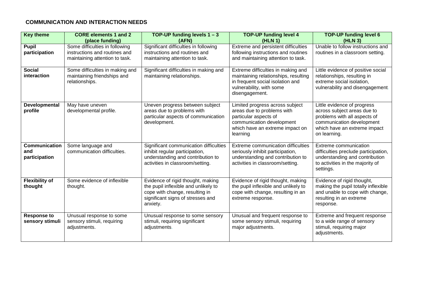#### **COMMUNICATION AND INTERACTION NEEDS**

| <b>Key theme</b>                             | <b>CORE elements 1 and 2</b><br>(place funding)                                                   | TOP-UP funding levels $1 - 3$<br>(AFN)                                                                                                                       | <b>TOP-UP funding level 4</b><br>(HLN 1)                                                                                                                            | <b>TOP-UP funding level 6</b><br>(HLN 3)                                                                                                                                |
|----------------------------------------------|---------------------------------------------------------------------------------------------------|--------------------------------------------------------------------------------------------------------------------------------------------------------------|---------------------------------------------------------------------------------------------------------------------------------------------------------------------|-------------------------------------------------------------------------------------------------------------------------------------------------------------------------|
| <b>Pupil</b><br>participation                | Some difficulties in following<br>instructions and routines and<br>maintaining attention to task. | Significant difficulties in following<br>instructions and routines and<br>maintaining attention to task.                                                     | Extreme and persistent difficulties<br>following instructions and routines<br>and maintaining attention to task.                                                    | Unable to follow instructions and<br>routines in a classroom setting.                                                                                                   |
| <b>Social</b><br>interaction                 | Some difficulties in making and<br>maintaining friendships and<br>relationships.                  | Significant difficulties in making and<br>maintaining relationships.                                                                                         | Extreme difficulties in making and<br>maintaining relationships, resulting<br>in frequent social isolation and<br>vulnerability, with some<br>disengagement.        | Little evidence of positive social<br>relationships, resulting in<br>extreme social isolation,<br>vulnerability and disengagement.                                      |
| Developmental<br>profile                     | May have uneven<br>developmental profile.                                                         | Uneven progress between subject<br>areas due to problems with<br>particular aspects of communication<br>development.                                         | Limited progress across subject<br>areas due to problems with<br>particular aspects of<br>communication development<br>which have an extreme impact on<br>learning. | Little evidence of progress<br>across subject areas due to<br>problems with all aspects of<br>communication development<br>which have an extreme impact<br>on learning. |
| <b>Communication</b><br>and<br>participation | Some language and<br>communication difficulties.                                                  | Significant communication difficulties<br>inhibit regular participation,<br>understanding and contribution to<br>activities in classroom/setting.            | Extreme communication difficulties<br>seriously inhibit participation,<br>understanding and contribution to<br>activities in classroom/setting.                     | Extreme communication<br>difficulties preclude participation,<br>understanding and contribution<br>to activities in the majority of<br>settings.                        |
| <b>Flexibility of</b><br>thought             | Some evidence of inflexible<br>thought.                                                           | Evidence of rigid thought, making<br>the pupil inflexible and unlikely to<br>cope with change, resulting in<br>significant signs of stresses and<br>anxiety. | Evidence of rigid thought, making<br>the pupil inflexible and unlikely to<br>cope with change, resulting in an<br>extreme response.                                 | Evidence of rigid thought,<br>making the pupil totally inflexible<br>and unable to cope with change,<br>resulting in an extreme<br>response.                            |
| <b>Response to</b><br>sensory stimuli        | Unusual response to some<br>sensory stimuli, requiring<br>adjustments.                            | Unusual response to some sensory<br>stimuli, requiring significant<br>adjustments.                                                                           | Unusual and frequent response to<br>some sensory stimuli, requiring<br>major adjustments.                                                                           | Extreme and frequent response<br>to a wide range of sensory<br>stimuli, requiring major<br>adjustments.                                                                 |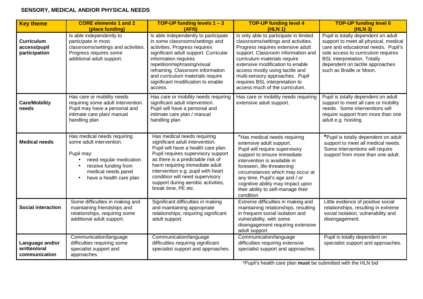# **SENSORY, MEDICAL AND/OR PHYSICAL NEEDS**

| <b>Key theme</b>                                   | <b>CORE elements 1 and 2</b><br>(place funding)                                                                                                                            | <b>TOP-UP funding levels <math>1 - 3</math></b><br>(AFN)                                                                                                                                                                                                                                                                                                 | <b>TOP-UP funding level 4</b><br>(HLN 1)                                                                                                                                                                                                                                                                                                                               | <b>TOP-UP funding level 6</b><br>(HLN <sub>3</sub> )                                                                                                                                                                                                           |
|----------------------------------------------------|----------------------------------------------------------------------------------------------------------------------------------------------------------------------------|----------------------------------------------------------------------------------------------------------------------------------------------------------------------------------------------------------------------------------------------------------------------------------------------------------------------------------------------------------|------------------------------------------------------------------------------------------------------------------------------------------------------------------------------------------------------------------------------------------------------------------------------------------------------------------------------------------------------------------------|----------------------------------------------------------------------------------------------------------------------------------------------------------------------------------------------------------------------------------------------------------------|
| <b>Curriculum</b><br>access/pupil<br>participation | Is able independently to<br>participate in most<br>classrooms/settings and activities.<br>Progress requires some<br>additional adult support.                              | Is able independently to participate<br>in some classrooms/settings and<br>activities. Progress requires<br>significant adult support. Curricular<br>information requires<br>repetition/rephrasing/visual<br>reframing. Classroom information<br>and curriculum materials require<br>significant modification to enable<br>access.                       | Is only able to participate in limited<br>classrooms/settings and activities.<br>Progress requires extensive adult<br>support. Classroom information and<br>curriculum materials require<br>extensive modification to enable<br>access mostly using tactile and<br>multi-sensory approaches. Pupil<br>requires BSL interpretation to<br>access much of the curriculum. | Pupil is totally dependent on adult<br>support to meet all physical, medical<br>care and educational needs. Pupil's<br>sole access to curriculum requires<br><b>BSL</b> interpretation. Totally<br>dependent on tactile approaches<br>such as Braille or Moon. |
| <b>Care/Mobility</b><br>needs                      | Has care or mobility needs<br>requiring some adult intervention.<br>Pupil may have a personal and<br>intimate care plan/ manual<br>handling plan                           | Has care or mobility needs requiring<br>significant adult intervention.<br>Pupil will have a personal and<br>intimate care plan / manual<br>handling plan                                                                                                                                                                                                | Has care or mobility needs requiring<br>extensive adult support.                                                                                                                                                                                                                                                                                                       | Pupil is totally dependent on adult<br>support to meet all care or mobility<br>needs. Some interventions will<br>require support from more than one<br>adult e.g. hoisting                                                                                     |
| <b>Medical needs</b>                               | Has medical needs requiring<br>some adult intervention.<br>Pupil may:<br>need regular medication<br>receive funding from<br>medical needs panel<br>have a health care plan | Has medical needs requiring<br>significant adult intervention.<br>Pupil will have a health care plan.<br>Pupil requires supervisory support<br>as there is a predictable risk of<br>harm requiring immediate adult<br>intervention e.g. pupil with heart<br>condition will need supervisory<br>support during aerobic activities,<br>break time, PE etc. | *Has medical needs requiring<br>extensive adult support.<br>Pupil will require supervisory<br>support to ensure immediate<br>intervention is available in<br>foreseen, life-threatening<br>circumstances which may occur at<br>any time. Pupil's age and / or<br>cognitive ability may impact upon<br>their ability to self-manage their<br>condition                  | *Pupil is totally dependent on adult<br>support to meet all medical needs.<br>Some interventions will require<br>support from more than one adult.                                                                                                             |
| <b>Social interaction</b>                          | Some difficulties in making and<br>maintaining friendships and<br>relationships, requiring some<br>additional adult support.                                               | Significant difficulties in making<br>and maintaining appropriate<br>relationships, requiring significant<br>adult support.                                                                                                                                                                                                                              | Extreme difficulties in making and<br>maintaining relationships, resulting<br>in frequent social isolation and<br>vulnerability, with some<br>disengagement requiring extensive<br>adult support.                                                                                                                                                                      | Little evidence of positive social<br>relationships, resulting in extreme<br>social isolation, vulnerability and<br>disengagement.                                                                                                                             |
| Language and/or<br>written/oral<br>communication   | Communication/language<br>difficulties requiring some<br>specialist support and<br>approaches.                                                                             | Communication/language<br>difficulties requiring significant<br>specialist support and approaches.                                                                                                                                                                                                                                                       | Communication/language<br>difficulties requiring extensive<br>specialist support and approaches.                                                                                                                                                                                                                                                                       | Pupil is totally dependent on<br>specialist support and approaches.                                                                                                                                                                                            |

\*Pupil's health care plan **must** be submitted with the HLN bid